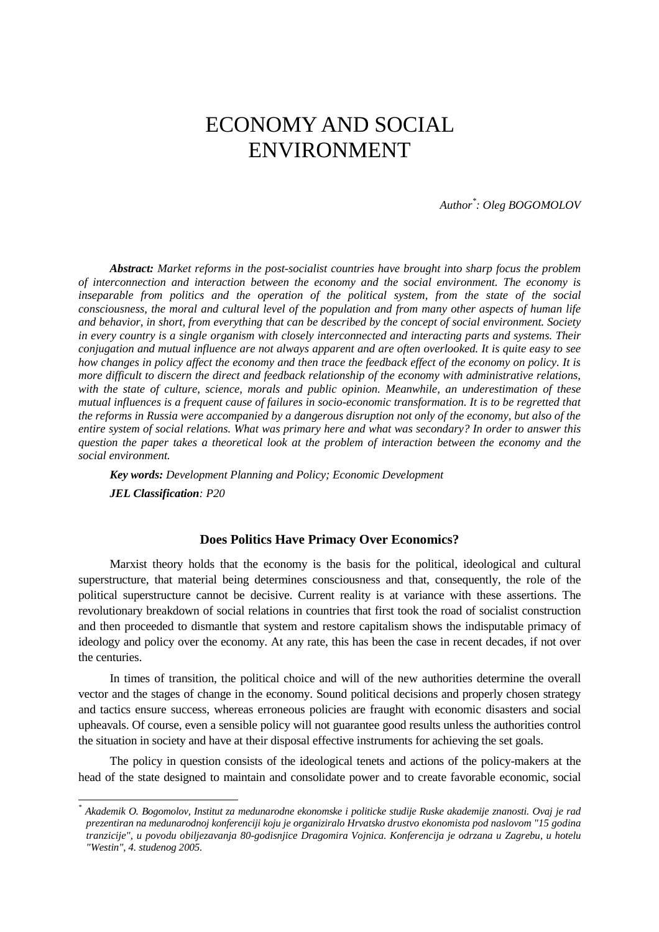# ECONOMY AND SOCIAL ENVIRONMENT

*Author\* : Oleg BOGOMOLOV* 

*Abstract: Market reforms in the post-socialist countries have brought into sharp focus the problem of interconnection and interaction between the economy and the social environment. The economy is inseparable from politics and the operation of the political system, from the state of the social consciousness, the moral and cultural level of the population and from many other aspects of human life and behavior, in short, from everything that can be described by the concept of social environment. Society in every country is a single organism with closely interconnected and interacting parts and systems. Their conjugation and mutual influence are not always apparent and are often overlooked. It is quite easy to see how changes in policy affect the economy and then trace the feedback effect of the economy on policy. It is more difficult to discern the direct and feedback relationship of the economy with administrative relations, with the state of culture, science, morals and public opinion. Meanwhile, an underestimation of these mutual influences is a frequent cause of failures in socio-economic transformation. It is to be regretted that the reforms in Russia were accompanied by a dangerous disruption not only of the economy, but also of the entire system of social relations. What was primary here and what was secondary? In order to answer this question the paper takes a theoretical look at the problem of interaction between the economy and the social environment.* 

*Key words: Development Planning and Policy; Economic Development JEL Classification: P20* 

## **Does Politics Have Primacy Over Economics?**

Marxist theory holds that the economy is the basis for the political, ideological and cultural superstructure, that material being determines consciousness and that, consequently, the role of the political superstructure cannot be decisive. Current reality is at variance with these assertions. The revolutionary breakdown of social relations in countries that first took the road of socialist construction and then proceeded to dismantle that system and restore capitalism shows the indisputable primacy of ideology and policy over the economy. At any rate, this has been the case in recent decades, if not over the centuries.

In times of transition, the political choice and will of the new authorities determine the overall vector and the stages of change in the economy. Sound political decisions and properly chosen strategy and tactics ensure success, whereas erroneous policies are fraught with economic disasters and social upheavals. Of course, even a sensible policy will not guarantee good results unless the authorities control the situation in society and have at their disposal effective instruments for achieving the set goals.

The policy in question consists of the ideological tenets and actions of the policy-makers at the head of the state designed to maintain and consolidate power and to create favorable economic, social

-

*<sup>\*</sup> Akademik O. Bogomolov, Institut za medunarodne ekonomske i politicke studije Ruske akademije znanosti. Ovaj je rad prezentiran na medunarodnoj konferenciji koju je organiziralo Hrvatsko drustvo ekonomista pod naslovom "15 godina tranzicije", u povodu obiljezavanja 80-godisnjice Dragomira Vojnica. Konferencija je odrzana u Zagrebu, u hotelu "Westin", 4. studenog 2005.*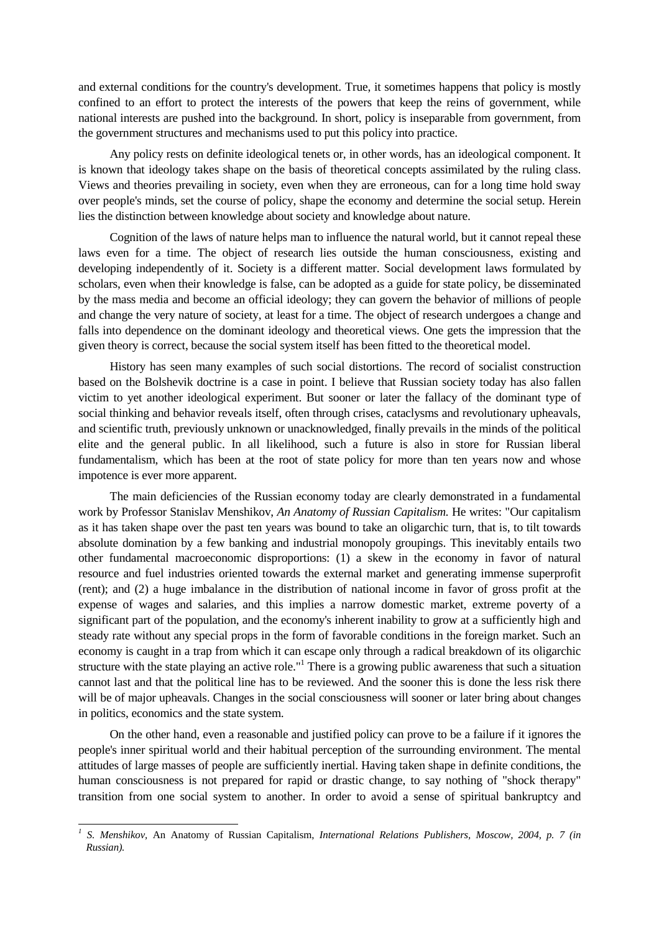and external conditions for the country's development. True, it sometimes happens that policy is mostly confined to an effort to protect the interests of the powers that keep the reins of government, while national interests are pushed into the background. In short, policy is inseparable from government, from the government structures and mechanisms used to put this policy into practice.

Any policy rests on definite ideological tenets or, in other words, has an ideological component. It is known that ideology takes shape on the basis of theoretical concepts assimilated by the ruling class. Views and theories prevailing in society, even when they are erroneous, can for a long time hold sway over people's minds, set the course of policy, shape the economy and determine the social setup. Herein lies the distinction between knowledge about society and knowledge about nature.

Cognition of the laws of nature helps man to influence the natural world, but it cannot repeal these laws even for a time. The object of research lies outside the human consciousness, existing and developing independently of it. Society is a different matter. Social development laws formulated by scholars, even when their knowledge is false, can be adopted as a guide for state policy, be disseminated by the mass media and become an official ideology; they can govern the behavior of millions of people and change the very nature of society, at least for a time. The object of research undergoes a change and falls into dependence on the dominant ideology and theoretical views. One gets the impression that the given theory is correct, because the social system itself has been fitted to the theoretical model.

History has seen many examples of such social distortions. The record of socialist construction based on the Bolshevik doctrine is a case in point. I believe that Russian society today has also fallen victim to yet another ideological experiment. But sooner or later the fallacy of the dominant type of social thinking and behavior reveals itself, often through crises, cataclysms and revolutionary upheavals, and scientific truth, previously unknown or unacknowledged, finally prevails in the minds of the political elite and the general public. In all likelihood, such a future is also in store for Russian liberal fundamentalism, which has been at the root of state policy for more than ten years now and whose impotence is ever more apparent.

The main deficiencies of the Russian economy today are clearly demonstrated in a fundamental work by Professor Stanislav Menshikov, *An Anatomy of Russian Capitalism.* He writes: "Our capitalism as it has taken shape over the past ten years was bound to take an oligarchic turn, that is, to tilt towards absolute domination by a few banking and industrial monopoly groupings. This inevitably entails two other fundamental macroeconomic disproportions: (1) a skew in the economy in favor of natural resource and fuel industries oriented towards the external market and generating immense superprofit (rent); and (2) a huge imbalance in the distribution of national income in favor of gross profit at the expense of wages and salaries, and this implies a narrow domestic market, extreme poverty of a significant part of the population, and the economy's inherent inability to grow at a sufficiently high and steady rate without any special props in the form of favorable conditions in the foreign market. Such an economy is caught in a trap from which it can escape only through a radical breakdown of its oligarchic structure with the state playing an active role."<sup>1</sup> There is a growing public awareness that such a situation cannot last and that the political line has to be reviewed. And the sooner this is done the less risk there will be of major upheavals. Changes in the social consciousness will sooner or later bring about changes in politics, economics and the state system.

On the other hand, even a reasonable and justified policy can prove to be a failure if it ignores the people's inner spiritual world and their habitual perception of the surrounding environment. The mental attitudes of large masses of people are sufficiently inertial. Having taken shape in definite conditions, the human consciousness is not prepared for rapid or drastic change, to say nothing of "shock therapy" transition from one social system to another. In order to avoid a sense of spiritual bankruptcy and

l

<sup>&</sup>lt;sup>1</sup> S. Menshikov, An Anatomy of Russian Capitalism, *International Relations Publishers, Moscow, 2004, p. 7 (in Russian).*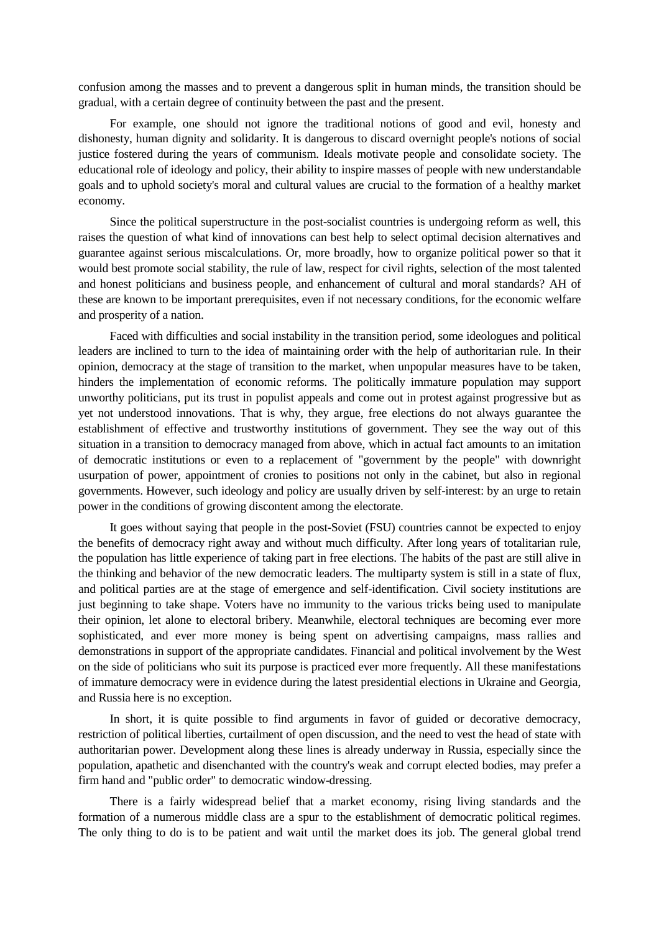confusion among the masses and to prevent a dangerous split in human minds, the transition should be gradual, with a certain degree of continuity between the past and the present.

For example, one should not ignore the traditional notions of good and evil, honesty and dishonesty, human dignity and solidarity. It is dangerous to discard overnight people's notions of social justice fostered during the years of communism. Ideals motivate people and consolidate society. The educational role of ideology and policy, their ability to inspire masses of people with new understandable goals and to uphold society's moral and cultural values are crucial to the formation of a healthy market economy.

Since the political superstructure in the post-socialist countries is undergoing reform as well, this raises the question of what kind of innovations can best help to select optimal decision alternatives and guarantee against serious miscalculations. Or, more broadly, how to organize political power so that it would best promote social stability, the rule of law, respect for civil rights, selection of the most talented and honest politicians and business people, and enhancement of cultural and moral standards? AH of these are known to be important prerequisites, even if not necessary conditions, for the economic welfare and prosperity of a nation.

Faced with difficulties and social instability in the transition period, some ideologues and political leaders are inclined to turn to the idea of maintaining order with the help of authoritarian rule. In their opinion, democracy at the stage of transition to the market, when unpopular measures have to be taken, hinders the implementation of economic reforms. The politically immature population may support unworthy politicians, put its trust in populist appeals and come out in protest against progressive but as yet not understood innovations. That is why, they argue, free elections do not always guarantee the establishment of effective and trustworthy institutions of government. They see the way out of this situation in a transition to democracy managed from above, which in actual fact amounts to an imitation of democratic institutions or even to a replacement of "government by the people" with downright usurpation of power, appointment of cronies to positions not only in the cabinet, but also in regional governments. However, such ideology and policy are usually driven by self-interest: by an urge to retain power in the conditions of growing discontent among the electorate.

It goes without saying that people in the post-Soviet (FSU) countries cannot be expected to enjoy the benefits of democracy right away and without much difficulty. After long years of totalitarian rule, the population has little experience of taking part in free elections. The habits of the past are still alive in the thinking and behavior of the new democratic leaders. The multiparty system is still in a state of flux, and political parties are at the stage of emergence and self-identification. Civil society institutions are just beginning to take shape. Voters have no immunity to the various tricks being used to manipulate their opinion, let alone to electoral bribery. Meanwhile, electoral techniques are becoming ever more sophisticated, and ever more money is being spent on advertising campaigns, mass rallies and demonstrations in support of the appropriate candidates. Financial and political involvement by the West on the side of politicians who suit its purpose is practiced ever more frequently. All these manifestations of immature democracy were in evidence during the latest presidential elections in Ukraine and Georgia, and Russia here is no exception.

In short, it is quite possible to find arguments in favor of guided or decorative democracy, restriction of political liberties, curtailment of open discussion, and the need to vest the head of state with authoritarian power. Development along these lines is already underway in Russia, especially since the population, apathetic and disenchanted with the country's weak and corrupt elected bodies, may prefer a firm hand and "public order" to democratic window-dressing.

There is a fairly widespread belief that a market economy, rising living standards and the formation of a numerous middle class are a spur to the establishment of democratic political regimes. The only thing to do is to be patient and wait until the market does its job. The general global trend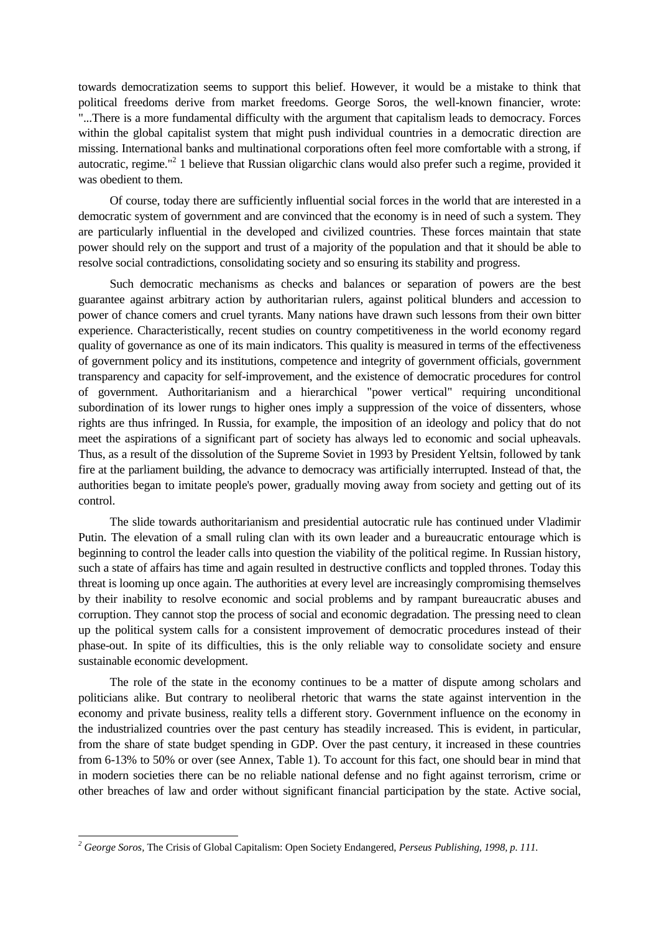towards democratization seems to support this belief. However, it would be a mistake to think that political freedoms derive from market freedoms. George Soros, the well-known financier, wrote: "...There is a more fundamental difficulty with the argument that capitalism leads to democracy. Forces within the global capitalist system that might push individual countries in a democratic direction are missing. International banks and multinational corporations often feel more comfortable with a strong, if autocratic, regime."<sup>2</sup> 1 believe that Russian oligarchic clans would also prefer such a regime, provided it was obedient to them.

Of course, today there are sufficiently influential social forces in the world that are interested in a democratic system of government and are convinced that the economy is in need of such a system. They are particularly influential in the developed and civilized countries. These forces maintain that state power should rely on the support and trust of a majority of the population and that it should be able to resolve social contradictions, consolidating society and so ensuring its stability and progress.

Such democratic mechanisms as checks and balances or separation of powers are the best guarantee against arbitrary action by authoritarian rulers, against political blunders and accession to power of chance comers and cruel tyrants. Many nations have drawn such lessons from their own bitter experience. Characteristically, recent studies on country competitiveness in the world economy regard quality of governance as one of its main indicators. This quality is measured in terms of the effectiveness of government policy and its institutions, competence and integrity of government officials, government transparency and capacity for self-improvement, and the existence of democratic procedures for control of government. Authoritarianism and a hierarchical "power vertical" requiring unconditional subordination of its lower rungs to higher ones imply a suppression of the voice of dissenters, whose rights are thus infringed. In Russia, for example, the imposition of an ideology and policy that do not meet the aspirations of a significant part of society has always led to economic and social upheavals. Thus, as a result of the dissolution of the Supreme Soviet in 1993 by President Yeltsin, followed by tank fire at the parliament building, the advance to democracy was artificially interrupted. Instead of that, the authorities began to imitate people's power, gradually moving away from society and getting out of its control.

The slide towards authoritarianism and presidential autocratic rule has continued under Vladimir Putin. The elevation of a small ruling clan with its own leader and a bureaucratic entourage which is beginning to control the leader calls into question the viability of the political regime. In Russian history, such a state of affairs has time and again resulted in destructive conflicts and toppled thrones. Today this threat is looming up once again. The authorities at every level are increasingly compromising themselves by their inability to resolve economic and social problems and by rampant bureaucratic abuses and corruption. They cannot stop the process of social and economic degradation. The pressing need to clean up the political system calls for a consistent improvement of democratic procedures instead of their phase-out. In spite of its difficulties, this is the only reliable way to consolidate society and ensure sustainable economic development.

The role of the state in the economy continues to be a matter of dispute among scholars and politicians alike. But contrary to neoliberal rhetoric that warns the state against intervention in the economy and private business, reality tells a different story. Government influence on the economy in the industrialized countries over the past century has steadily increased. This is evident, in particular, from the share of state budget spending in GDP. Over the past century, it increased in these countries from 6-13% to 50% or over (see Annex, Table 1). To account for this fact, one should bear in mind that in modern societies there can be no reliable national defense and no fight against terrorism, crime or other breaches of law and order without significant financial participation by the state. Active social,

 *2 George Soros,* The Crisis of Global Capitalism: Open Society Endangered, *Perseus Publishing, 1998, p. 111.*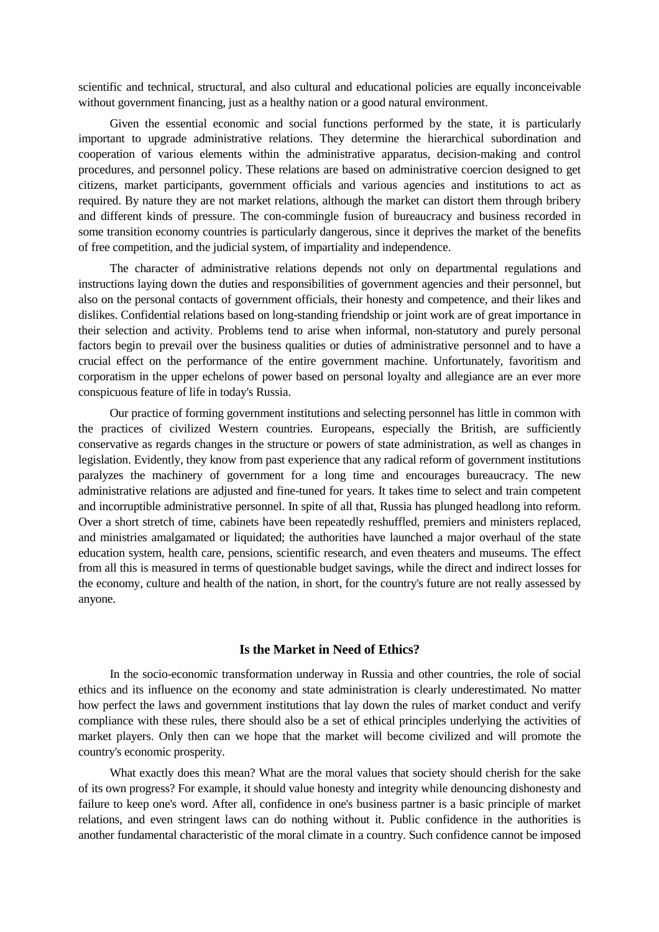scientific and technical, structural, and also cultural and educational policies are equally inconceivable without government financing, just as a healthy nation or a good natural environment.

Given the essential economic and social functions performed by the state, it is particularly important to upgrade administrative relations. They determine the hierarchical subordination and cooperation of various elements within the administrative apparatus, decision-making and control procedures, and personnel policy. These relations are based on administrative coercion designed to get citizens, market participants, government officials and various agencies and institutions to act as required. By nature they are not market relations, although the market can distort them through bribery and different kinds of pressure. The con-commingle fusion of bureaucracy and business recorded in some transition economy countries is particularly dangerous, since it deprives the market of the benefits of free competition, and the judicial system, of impartiality and independence.

The character of administrative relations depends not only on departmental regulations and instructions laying down the duties and responsibilities of government agencies and their personnel, but also on the personal contacts of government officials, their honesty and competence, and their likes and dislikes. Confidential relations based on long-standing friendship or joint work are of great importance in their selection and activity. Problems tend to arise when informal, non-statutory and purely personal factors begin to prevail over the business qualities or duties of administrative personnel and to have a crucial effect on the performance of the entire government machine. Unfortunately, favoritism and corporatism in the upper echelons of power based on personal loyalty and allegiance are an ever more conspicuous feature of life in today's Russia.

Our practice of forming government institutions and selecting personnel has little in common with the practices of civilized Western countries. Europeans, especially the British, are sufficiently conservative as regards changes in the structure or powers of state administration, as well as changes in legislation. Evidently, they know from past experience that any radical reform of government institutions paralyzes the machinery of government for a long time and encourages bureaucracy. The new administrative relations are adjusted and fine-tuned for years. It takes time to select and train competent and incorruptible administrative personnel. In spite of all that, Russia has plunged headlong into reform. Over a short stretch of time, cabinets have been repeatedly reshuffled, premiers and ministers replaced, and ministries amalgamated or liquidated; the authorities have launched a major overhaul of the state education system, health care, pensions, scientific research, and even theaters and museums. The effect from all this is measured in terms of questionable budget savings, while the direct and indirect losses for the economy, culture and health of the nation, in short, for the country's future are not really assessed by anyone.

#### **Is the Market in Need of Ethics?**

In the socio-economic transformation underway in Russia and other countries, the role of social ethics and its influence on the economy and state administration is clearly underestimated. No matter how perfect the laws and government institutions that lay down the rules of market conduct and verify compliance with these rules, there should also be a set of ethical principles underlying the activities of market players. Only then can we hope that the market will become civilized and will promote the country's economic prosperity.

What exactly does this mean? What are the moral values that society should cherish for the sake of its own progress? For example, it should value honesty and integrity while denouncing dishonesty and failure to keep one's word. After all, confidence in one's business partner is a basic principle of market relations, and even stringent laws can do nothing without it. Public confidence in the authorities is another fundamental characteristic of the moral climate in a country. Such confidence cannot be imposed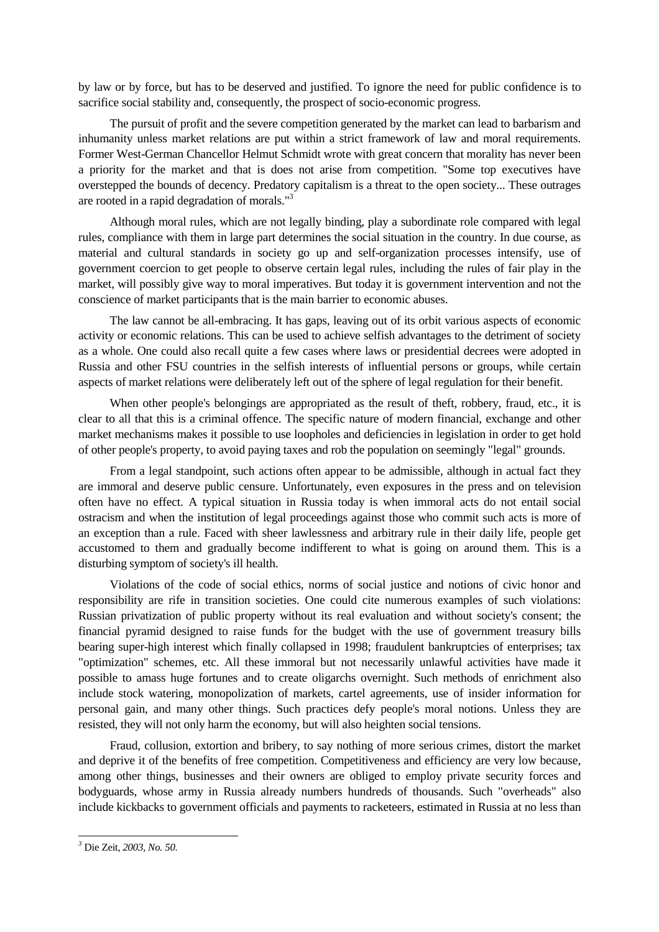by law or by force, but has to be deserved and justified. To ignore the need for public confidence is to sacrifice social stability and, consequently, the prospect of socio-economic progress.

The pursuit of profit and the severe competition generated by the market can lead to barbarism and inhumanity unless market relations are put within a strict framework of law and moral requirements. Former West-German Chancellor Helmut Schmidt wrote with great concern that morality has never been a priority for the market and that is does not arise from competition. "Some top executives have overstepped the bounds of decency. Predatory capitalism is a threat to the open society... These outrages are rooted in a rapid degradation of morals."<sup>3</sup>

Although moral rules, which are not legally binding, play a subordinate role compared with legal rules, compliance with them in large part determines the social situation in the country. In due course, as material and cultural standards in society go up and self-organization processes intensify, use of government coercion to get people to observe certain legal rules, including the rules of fair play in the market, will possibly give way to moral imperatives. But today it is government intervention and not the conscience of market participants that is the main barrier to economic abuses.

The law cannot be all-embracing. It has gaps, leaving out of its orbit various aspects of economic activity or economic relations. This can be used to achieve selfish advantages to the detriment of society as a whole. One could also recall quite a few cases where laws or presidential decrees were adopted in Russia and other FSU countries in the selfish interests of influential persons or groups, while certain aspects of market relations were deliberately left out of the sphere of legal regulation for their benefit.

When other people's belongings are appropriated as the result of theft, robbery, fraud, etc., it is clear to all that this is a criminal offence. The specific nature of modern financial, exchange and other market mechanisms makes it possible to use loopholes and deficiencies in legislation in order to get hold of other people's property, to avoid paying taxes and rob the population on seemingly "legal" grounds.

From a legal standpoint, such actions often appear to be admissible, although in actual fact they are immoral and deserve public censure. Unfortunately, even exposures in the press and on television often have no effect. A typical situation in Russia today is when immoral acts do not entail social ostracism and when the institution of legal proceedings against those who commit such acts is more of an exception than a rule. Faced with sheer lawlessness and arbitrary rule in their daily life, people get accustomed to them and gradually become indifferent to what is going on around them. This is a disturbing symptom of society's ill health.

Violations of the code of social ethics, norms of social justice and notions of civic honor and responsibility are rife in transition societies. One could cite numerous examples of such violations: Russian privatization of public property without its real evaluation and without society's consent; the financial pyramid designed to raise funds for the budget with the use of government treasury bills bearing super-high interest which finally collapsed in 1998; fraudulent bankruptcies of enterprises; tax "optimization" schemes, etc. All these immoral but not necessarily unlawful activities have made it possible to amass huge fortunes and to create oligarchs overnight. Such methods of enrichment also include stock watering, monopolization of markets, cartel agreements, use of insider information for personal gain, and many other things. Such practices defy people's moral notions. Unless they are resisted, they will not only harm the economy, but will also heighten social tensions.

Fraud, collusion, extortion and bribery, to say nothing of more serious crimes, distort the market and deprive it of the benefits of free competition. Competitiveness and efficiency are very low because, among other things, businesses and their owners are obliged to employ private security forces and bodyguards, whose army in Russia already numbers hundreds of thousands. Such "overheads" also include kickbacks to government officials and payments to racketeers, estimated in Russia at no less than

l

*<sup>3</sup>* Die Zeit, *2003, No. 50.*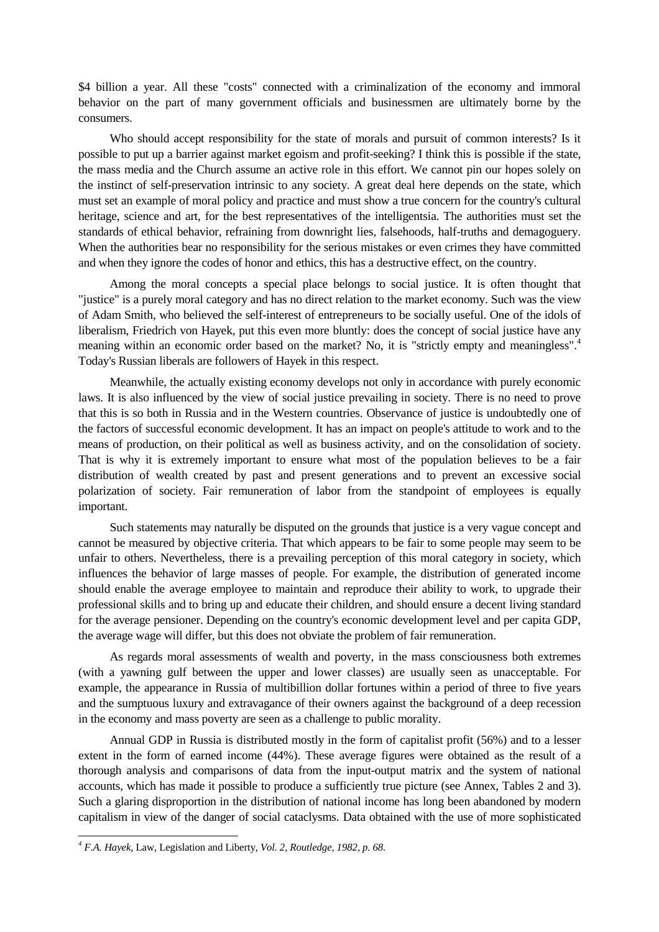\$4 billion a year. All these "costs" connected with a criminalization of the economy and immoral behavior on the part of many government officials and businessmen are ultimately borne by the consumers.

Who should accept responsibility for the state of morals and pursuit of common interests? Is it possible to put up a barrier against market egoism and profit-seeking? I think this is possible if the state, the mass media and the Church assume an active role in this effort. We cannot pin our hopes solely on the instinct of self-preservation intrinsic to any society. A great deal here depends on the state, which must set an example of moral policy and practice and must show a true concern for the country's cultural heritage, science and art, for the best representatives of the intelligentsia. The authorities must set the standards of ethical behavior, refraining from downright lies, falsehoods, half-truths and demagoguery. When the authorities bear no responsibility for the serious mistakes or even crimes they have committed and when they ignore the codes of honor and ethics, this has a destructive effect, on the country.

Among the moral concepts a special place belongs to social justice. It is often thought that "justice" is a purely moral category and has no direct relation to the market economy. Such was the view of Adam Smith, who believed the self-interest of entrepreneurs to be socially useful. One of the idols of liberalism, Friedrich von Hayek, put this even more bluntly: does the concept of social justice have any meaning within an economic order based on the market? No, it is "strictly empty and meaningless".<sup>4</sup> Today's Russian liberals are followers of Hayek in this respect.

Meanwhile, the actually existing economy develops not only in accordance with purely economic laws. It is also influenced by the view of social justice prevailing in society. There is no need to prove that this is so both in Russia and in the Western countries. Observance of justice is undoubtedly one of the factors of successful economic development. It has an impact on people's attitude to work and to the means of production, on their political as well as business activity, and on the consolidation of society. That is why it is extremely important to ensure what most of the population believes to be a fair distribution of wealth created by past and present generations and to prevent an excessive social polarization of society. Fair remuneration of labor from the standpoint of employees is equally important.

Such statements may naturally be disputed on the grounds that justice is a very vague concept and cannot be measured by objective criteria. That which appears to be fair to some people may seem to be unfair to others. Nevertheless, there is a prevailing perception of this moral category in society, which influences the behavior of large masses of people. For example, the distribution of generated income should enable the average employee to maintain and reproduce their ability to work, to upgrade their professional skills and to bring up and educate their children, and should ensure a decent living standard for the average pensioner. Depending on the country's economic development level and per capita GDP, the average wage will differ, but this does not obviate the problem of fair remuneration.

As regards moral assessments of wealth and poverty, in the mass consciousness both extremes (with a yawning gulf between the upper and lower classes) are usually seen as unacceptable. For example, the appearance in Russia of multibillion dollar fortunes within a period of three to five years and the sumptuous luxury and extravagance of their owners against the background of a deep recession in the economy and mass poverty are seen as a challenge to public morality.

Annual GDP in Russia is distributed mostly in the form of capitalist profit (56%) and to a lesser extent in the form of earned income (44%). These average figures were obtained as the result of a thorough analysis and comparisons of data from the input-output matrix and the system of national accounts, which has made it possible to produce a sufficiently true picture (see Annex, Tables 2 and 3). Such a glaring disproportion in the distribution of national income has long been abandoned by modern capitalism in view of the danger of social cataclysms. Data obtained with the use of more sophisticated

 *4 F.A. Hayek,* Law, Legislation and Liberty, *Vol. 2, Routledge, 1982, p. 68.*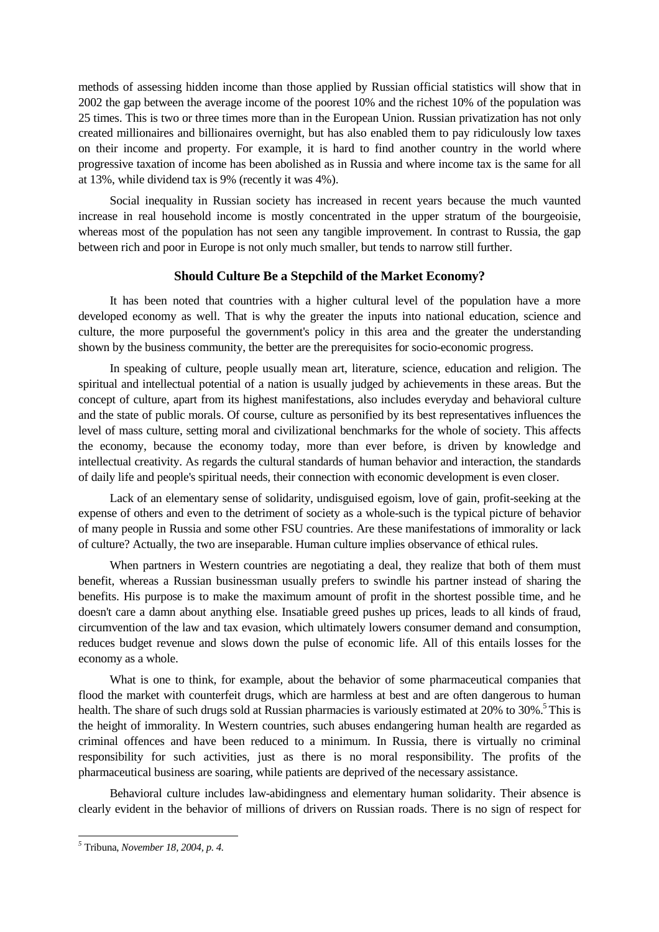methods of assessing hidden income than those applied by Russian official statistics will show that in 2002 the gap between the average income of the poorest 10% and the richest 10% of the population was 25 times. This is two or three times more than in the European Union. Russian privatization has not only created millionaires and billionaires overnight, but has also enabled them to pay ridiculously low taxes on their income and property. For example, it is hard to find another country in the world where progressive taxation of income has been abolished as in Russia and where income tax is the same for all at 13%, while dividend tax is 9% (recently it was 4%).

Social inequality in Russian society has increased in recent years because the much vaunted increase in real household income is mostly concentrated in the upper stratum of the bourgeoisie, whereas most of the population has not seen any tangible improvement. In contrast to Russia, the gap between rich and poor in Europe is not only much smaller, but tends to narrow still further.

#### **Should Culture Be a Stepchild of the Market Economy?**

It has been noted that countries with a higher cultural level of the population have a more developed economy as well. That is why the greater the inputs into national education, science and culture, the more purposeful the government's policy in this area and the greater the understanding shown by the business community, the better are the prerequisites for socio-economic progress.

In speaking of culture, people usually mean art, literature, science, education and religion. The spiritual and intellectual potential of a nation is usually judged by achievements in these areas. But the concept of culture, apart from its highest manifestations, also includes everyday and behavioral culture and the state of public morals. Of course, culture as personified by its best representatives influences the level of mass culture, setting moral and civilizational benchmarks for the whole of society. This affects the economy, because the economy today, more than ever before, is driven by knowledge and intellectual creativity. As regards the cultural standards of human behavior and interaction, the standards of daily life and people's spiritual needs, their connection with economic development is even closer.

Lack of an elementary sense of solidarity, undisguised egoism, love of gain, profit-seeking at the expense of others and even to the detriment of society as a whole-such is the typical picture of behavior of many people in Russia and some other FSU countries. Are these manifestations of immorality or lack of culture? Actually, the two are inseparable. Human culture implies observance of ethical rules.

When partners in Western countries are negotiating a deal, they realize that both of them must benefit, whereas a Russian businessman usually prefers to swindle his partner instead of sharing the benefits. His purpose is to make the maximum amount of profit in the shortest possible time, and he doesn't care a damn about anything else. Insatiable greed pushes up prices, leads to all kinds of fraud, circumvention of the law and tax evasion, which ultimately lowers consumer demand and consumption, reduces budget revenue and slows down the pulse of economic life. All of this entails losses for the economy as a whole.

What is one to think, for example, about the behavior of some pharmaceutical companies that flood the market with counterfeit drugs, which are harmless at best and are often dangerous to human health. The share of such drugs sold at Russian pharmacies is variously estimated at 20% to 30%.<sup>5</sup>This is the height of immorality. In Western countries, such abuses endangering human health are regarded as criminal offences and have been reduced to a minimum. In Russia, there is virtually no criminal responsibility for such activities, just as there is no moral responsibility. The profits of the pharmaceutical business are soaring, while patients are deprived of the necessary assistance.

Behavioral culture includes law-abidingness and elementary human solidarity. Their absence is clearly evident in the behavior of millions of drivers on Russian roads. There is no sign of respect for

 *5* Tribuna, *November 18, 2004, p. 4.*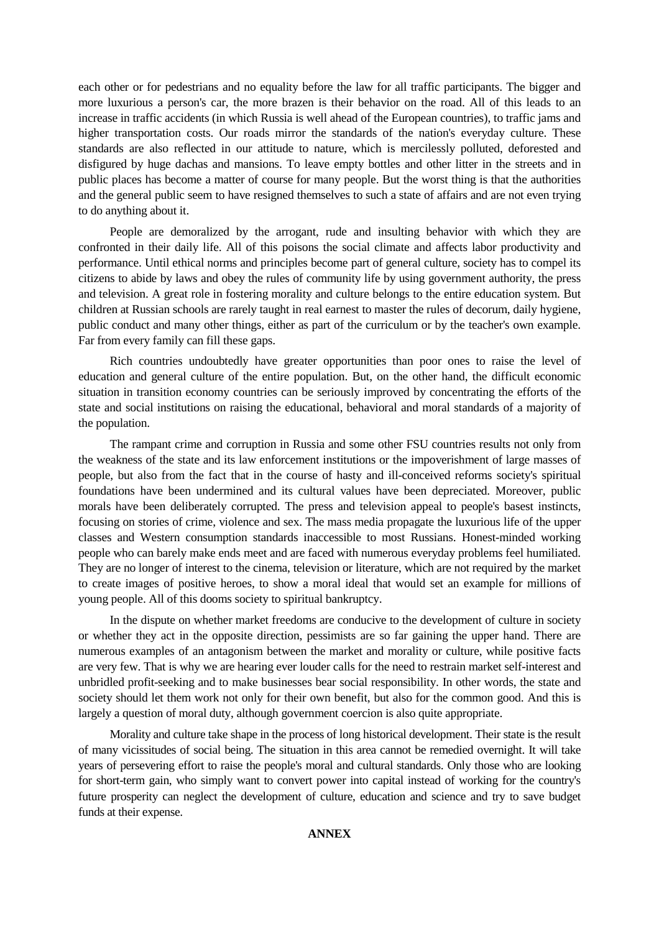each other or for pedestrians and no equality before the law for all traffic participants. The bigger and more luxurious a person's car, the more brazen is their behavior on the road. All of this leads to an increase in traffic accidents (in which Russia is well ahead of the European countries), to traffic jams and higher transportation costs. Our roads mirror the standards of the nation's everyday culture. These standards are also reflected in our attitude to nature, which is mercilessly polluted, deforested and disfigured by huge dachas and mansions. To leave empty bottles and other litter in the streets and in public places has become a matter of course for many people. But the worst thing is that the authorities and the general public seem to have resigned themselves to such a state of affairs and are not even trying to do anything about it.

People are demoralized by the arrogant, rude and insulting behavior with which they are confronted in their daily life. All of this poisons the social climate and affects labor productivity and performance. Until ethical norms and principles become part of general culture, society has to compel its citizens to abide by laws and obey the rules of community life by using government authority, the press and television. A great role in fostering morality and culture belongs to the entire education system. But children at Russian schools are rarely taught in real earnest to master the rules of decorum, daily hygiene, public conduct and many other things, either as part of the curriculum or by the teacher's own example. Far from every family can fill these gaps.

Rich countries undoubtedly have greater opportunities than poor ones to raise the level of education and general culture of the entire population. But, on the other hand, the difficult economic situation in transition economy countries can be seriously improved by concentrating the efforts of the state and social institutions on raising the educational, behavioral and moral standards of a majority of the population.

The rampant crime and corruption in Russia and some other FSU countries results not only from the weakness of the state and its law enforcement institutions or the impoverishment of large masses of people, but also from the fact that in the course of hasty and ill-conceived reforms society's spiritual foundations have been undermined and its cultural values have been depreciated. Moreover, public morals have been deliberately corrupted. The press and television appeal to people's basest instincts, focusing on stories of crime, violence and sex. The mass media propagate the luxurious life of the upper classes and Western consumption standards inaccessible to most Russians. Honest-minded working people who can barely make ends meet and are faced with numerous everyday problems feel humiliated. They are no longer of interest to the cinema, television or literature, which are not required by the market to create images of positive heroes, to show a moral ideal that would set an example for millions of young people. All of this dooms society to spiritual bankruptcy.

In the dispute on whether market freedoms are conducive to the development of culture in society or whether they act in the opposite direction, pessimists are so far gaining the upper hand. There are numerous examples of an antagonism between the market and morality or culture, while positive facts are very few. That is why we are hearing ever louder calls for the need to restrain market self-interest and unbridled profit-seeking and to make businesses bear social responsibility. In other words, the state and society should let them work not only for their own benefit, but also for the common good. And this is largely a question of moral duty, although government coercion is also quite appropriate.

Morality and culture take shape in the process of long historical development. Their state is the result of many vicissitudes of social being. The situation in this area cannot be remedied overnight. It will take years of persevering effort to raise the people's moral and cultural standards. Only those who are looking for short-term gain, who simply want to convert power into capital instead of working for the country's future prosperity can neglect the development of culture, education and science and try to save budget funds at their expense.

#### **ANNEX**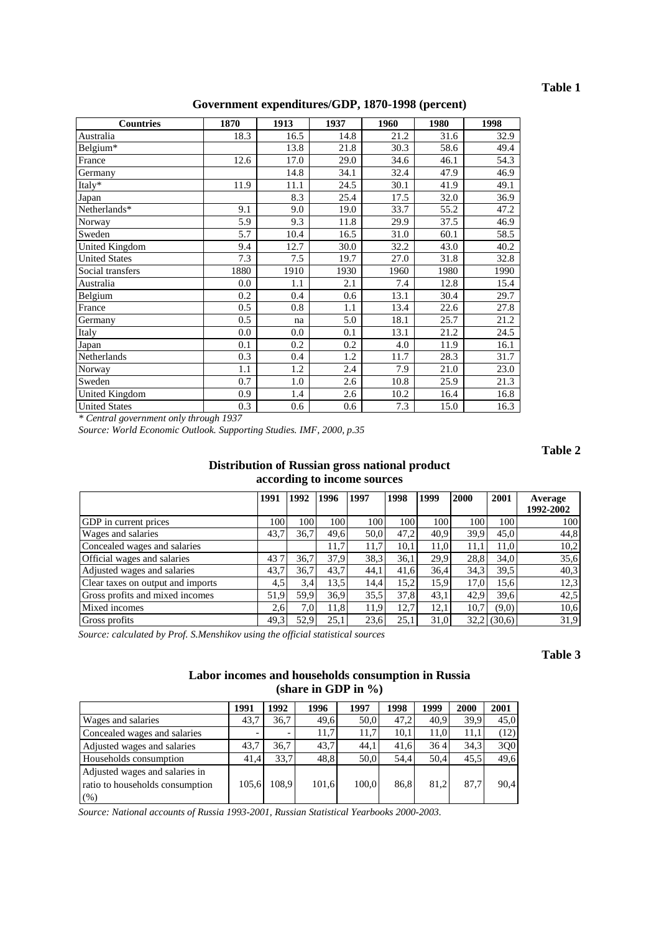**Government expenditures/GDP, 1870-1998 (percent)**

| <b>Countries</b>      | 1870 | 1913    | 1937 | 1960 | 1980 | 1998 |
|-----------------------|------|---------|------|------|------|------|
| Australia             | 18.3 | 16.5    | 14.8 | 21.2 | 31.6 | 32.9 |
| Belgium*              |      | 13.8    | 21.8 | 30.3 | 58.6 | 49.4 |
| France                | 12.6 | 17.0    | 29.0 | 34.6 | 46.1 | 54.3 |
| Germany               |      | 14.8    | 34.1 | 32.4 | 47.9 | 46.9 |
| Italy*                | 11.9 | 11.1    | 24.5 | 30.1 | 41.9 | 49.1 |
| Japan                 |      | 8.3     | 25.4 | 17.5 | 32.0 | 36.9 |
| Netherlands*          | 9.1  | 9.0     | 19.0 | 33.7 | 55.2 | 47.2 |
| Norway                | 5.9  | 9.3     | 11.8 | 29.9 | 37.5 | 46.9 |
| Sweden                | 5.7  | 10.4    | 16.5 | 31.0 | 60.1 | 58.5 |
| United Kingdom        | 9.4  | 12.7    | 30.0 | 32.2 | 43.0 | 40.2 |
| <b>United States</b>  | 7.3  | 7.5     | 19.7 | 27.0 | 31.8 | 32.8 |
| Social transfers      | 1880 | 1910    | 1930 | 1960 | 1980 | 1990 |
| Australia             | 0.0  | 1.1     | 2.1  | 7.4  | 12.8 | 15.4 |
| Belgium               | 0.2  | 0.4     | 0.6  | 13.1 | 30.4 | 29.7 |
| France                | 0.5  | $0.8\,$ | 1.1  | 13.4 | 22.6 | 27.8 |
| Germany               | 0.5  | na      | 5.0  | 18.1 | 25.7 | 21.2 |
| Italy                 | 0.0  | 0.0     | 0.1  | 13.1 | 21.2 | 24.5 |
| Japan                 | 0.1  | 0.2     | 0.2  | 4.0  | 11.9 | 16.1 |
| Netherlands           | 0.3  | 0.4     | 1.2  | 11.7 | 28.3 | 31.7 |
| Norway                | 1.1  | 1.2     | 2.4  | 7.9  | 21.0 | 23.0 |
| Sweden                | 0.7  | 1.0     | 2.6  | 10.8 | 25.9 | 21.3 |
| <b>United Kingdom</b> | 0.9  | 1.4     | 2.6  | 10.2 | 16.4 | 16.8 |
| <b>United States</b>  | 0.3  | 0.6     | 0.6  | 7.3  | 15.0 | 16.3 |

*\* Central government only through 1937* 

*Source: World Economic Outlook. Supporting Studies. IMF, 2000, p.35* 

**Table 2** 

### **Distribution of Russian gross national product according to income sources**

|                                   | 1991 | 1992             | 1996 | 1997 | 1998 | 1999 | 2000 | 2001          | Average<br>1992-2002 |
|-----------------------------------|------|------------------|------|------|------|------|------|---------------|----------------------|
| <b>GDP</b> in current prices      | 100  | 100              | 100  | 100  | 100  | 100  | 100  | 100           | 100                  |
| Wages and salaries                | 43,7 | 36,7             | 49,6 | 50,0 | 47,2 | 40,9 | 39,9 | 45,0          | 44,8                 |
| Concealed wages and salaries      |      |                  | 11,7 | 11,7 | 10,1 | 11,0 | 11.1 | 11,0          | 10,2                 |
| Official wages and salaries       | 437  | 36.7             | 37.9 | 38.3 | 36,1 | 29,9 | 28.8 | 34,0          | 35,6                 |
| Adjusted wages and salaries       | 43.7 | 36.7             | 43,7 | 44.1 | 41,6 | 36.4 | 34,3 | 39.5          | 40,3                 |
| Clear taxes on output and imports | 4,5  | 3.4              | 13.5 | 14,4 | 15,2 | 15,9 | 17,0 | 15.6          | 12,3                 |
| Gross profits and mixed incomes   | 51,9 | 59,9             | 36.9 | 35,5 | 37,8 | 43,1 | 42,9 | 39,6          | 42,5                 |
| Mixed incomes                     | 2.6  | 7.0 <sub>l</sub> | 11,8 | 11,9 | 12,7 | 12,1 | 10.7 | (9,0)         | 10,6                 |
| Gross profits                     | 49.3 | 52,9             | 25,1 | 23,6 | 25,1 | 31,0 |      | $32,2$ (30,6) | 31,9                 |

*Source: calculated by Prof. S.Menshikov using the official statistical sources* 

**Table 3** 

## **Labor incomes and households consumption in Russia (share in GDP in %)**

|                                                                   | 1991                     | 1992  | 1996  | 1997  | 1998 | 1999 | 2000 | 2001 |
|-------------------------------------------------------------------|--------------------------|-------|-------|-------|------|------|------|------|
| Wages and salaries                                                | 43.7                     | 36.7  | 49.6  | 50,0  | 47.2 | 40.9 | 39.9 | 45,0 |
| Concealed wages and salaries                                      | $\overline{\phantom{0}}$ |       | 11.7  | 11.7  | 10.1 | 11.0 | 11.1 | (12) |
| Adjusted wages and salaries                                       | 43.7                     | 36.7  | 43,7  | 44.1  | 41.6 | 364  | 34.3 | 3Q0  |
| Households consumption                                            | 41.4                     | 33,7  | 48,8  | 50,0  | 54.4 | 50.4 | 45.5 | 49,6 |
| Adjusted wages and salaries in<br>ratio to households consumption | 105.6                    | 108.9 | 101.6 | 100.0 | 86.8 | 81.2 | 87.7 | 90.4 |
| (% )                                                              |                          |       |       |       |      |      |      |      |

*Source: National accounts of Russia 1993-2001, Russian Statistical Yearbooks 2000-2003.*